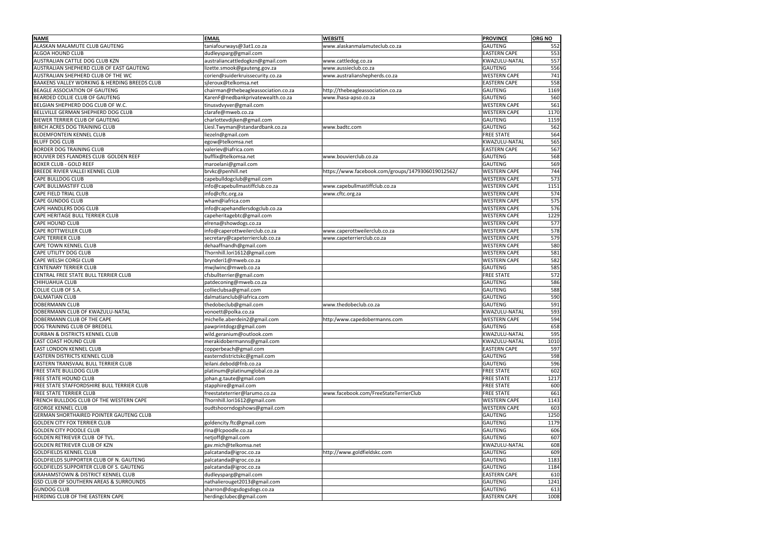| <b>NAME</b>                                       | <b>EMAIL</b>                        | <b>WEBSITE</b>                                    | <b>PROVINCE</b>     | <b>ORG NO</b> |
|---------------------------------------------------|-------------------------------------|---------------------------------------------------|---------------------|---------------|
| ALASKAN MALAMUTE CLUB GAUTENG                     | taniafourways@3at1.co.za            | www.alaskanmalamuteclub.co.za                     | GAUTENG             | 552           |
| ALGOA HOUND CLUB                                  | dudleysparg@gmail.com               |                                                   | <b>EASTERN CAPE</b> | 553           |
| AUSTRALIAN CATTLE DOG CLUB KZN                    | australiancattledogkzn@gmail.com    | www.cattledog.co.za                               | KWAZULU-NATAL       | 557           |
| AUSTRALIAN SHEPHERD CLUB OF EAST GAUTENG          | lizette.smook@gauteng.gov.za        | www.aussieclub.co.za                              | GAUTENG             | 556           |
| AUSTRALIAN SHEPHERD CLUB OF THE WC                | corien@suiderkruissecurity.co.za    | www.australianshepherds.co.za                     | <b>WESTERN CAPE</b> | 741           |
| BAAKENS VALLEY WORKING & HERDING BREEDS CLUB      | sjleroux@telkomsa.net               |                                                   | <b>EASTERN CAPE</b> | 558           |
| BEAGLE ASSOCIATION OF GAUTENG                     | chairman@thebeagleassociation.co.za | http://thebeagleassociation.co.za                 | GAUTENG             |               |
| BEARDED COLLIE CLUB OF GAUTENG                    |                                     |                                                   | GAUTENG             | 1169          |
|                                                   | KarenF@nedbankprivatewealth.co.za   | www.lhasa-apso.co.za                              | <b>WESTERN CAPE</b> | 560           |
| BELGIAN SHEPHERD DOG CLUB OF W.C.                 | tinusvdvyver@gmail.com              |                                                   |                     | 561           |
| BELLVILLE GERMAN SHEPHERD DOG CLUB                | clarafe@mweb.co.za                  |                                                   | <b>WESTERN CAPE</b> | 1170          |
| BIEWER TERRIER CLUB OF GAUTENG                    | charlottevdijken@gmail.com          |                                                   | GAUTENG             | 1159          |
| <b>BIRCH ACRES DOG TRAINING CLUB</b>              | Liesl.Twyman@standardbank.co.za     | www.badtc.com                                     | GAUTENG             | 562           |
| <b>BLOEMFONTEIN KENNEL CLUB</b>                   | liezeln@gmail.com                   |                                                   | <b>FREE STATE</b>   | 564           |
| <b>BLUFF DOG CLUB</b>                             | egow@telkomsa.net                   |                                                   | KWAZULU-NATAL       | 565           |
| <b>BORDER DOG TRAINING CLUB</b>                   | valeriev@iafrica.com                |                                                   | <b>EASTERN CAPE</b> | 567           |
| <b>BOUVIER DES FLANDRES CLUB GOLDEN REEF</b>      | bufflix@telkomsa.net                | www.bouvierclub.co.za                             | GAUTENG             | 568           |
| <b>BOXER CLUB - GOLD REEF</b>                     | maroelani@gmail.com                 |                                                   | GAUTENG             | 569           |
| BREEDE RIVIER VALLEI KENNEL CLUB                  | brvkc@penhill.net                   | https://www.facebook.com/groups/1479306019012562/ | <b>WESTERN CAPE</b> | 744           |
| <b>CAPE BULLDOG CLUB</b>                          | capebulldogclub@gmail.com           |                                                   | <b>WESTERN CAPE</b> | 573           |
| <b>CAPE BULLMASTIFF CLUB</b>                      | info@capebullmastiffclub.co.za      | www.capebullmastiffclub.co.za                     | <b>WESTERN CAPE</b> | 1151          |
| CAPE FIELD TRIAL CLUB                             | info@cftc.org.za                    | www.cftc.org.za                                   | <b>WESTERN CAPE</b> | 574           |
| <b>CAPE GUNDOG CLUB</b>                           | wham@iafrica.com                    |                                                   | <b>WESTERN CAPE</b> | 575           |
| <b>CAPE HANDLERS DOG CLUB</b>                     | info@capehandlersdogclub.co.za      |                                                   | <b>WESTERN CAPE</b> | 576           |
| CAPE HERITAGE BULL TERRIER CLUB                   | capeheritagebtc@gmail.com           |                                                   | <b>WESTERN CAPE</b> | 1229          |
| <b>CAPE HOUND CLUB</b>                            | elrena@showdogs.co.za               |                                                   | <b>WESTERN CAPE</b> | 577           |
| CAPE ROTTWEILER CLUB                              | info@caperottweilerclub.co.za       | www.caperottweilerclub.co.za                      | <b>WESTERN CAPE</b> | 578           |
| <b>CAPE TERRIER CLUB</b>                          | secretary@capeterrierclub.co.za     | www.capeterrierclub.co.za                         | <b>WESTERN CAPE</b> | 579           |
| <b>CAPE TOWN KENNEL CLUB</b>                      | dehaaffnandh@gmail.com              |                                                   | <b>WESTERN CAPE</b> | 580           |
| CAPE UTILITY DOG CLUB                             | Thornhill.lori1612@gmail.com        |                                                   | <b>WESTERN CAPE</b> | 581           |
| CAPE WELSH CORGI CLUB                             | brynderi1@mweb.co.za                |                                                   | <b>WESTERN CAPE</b> | 582           |
| <b>CENTENARY TERRIER CLUB</b>                     | mwjlwinc@mweb.co.za                 |                                                   | GAUTENG             | 585           |
| CENTRAL FREE STATE BULL TERRIER CLUB              | cfsbullterrier@gmail.com            |                                                   | <b>FREE STATE</b>   | 572           |
| <b>CHIHUAHUA CLUB</b>                             |                                     |                                                   | GAUTENG             | 586           |
|                                                   | patdeconing@mweb.co.za              |                                                   | GAUTENG             |               |
| <b>COLLIE CLUB OF S.A.</b>                        | collieclubsa@gmail.com              |                                                   |                     | 588           |
| <b>DALMATIAN CLUB</b>                             | dalmatianclub@iafrica.com           |                                                   | GAUTENG             | 590           |
| <b>DOBERMANN CLUB</b>                             | thedobeclub@gmail.com               | www.thedobeclub.co.za                             | GAUTENG             | 591           |
| DOBERMANN CLUB OF KWAZULU-NATAL                   | vonoett@polka.co.za                 |                                                   | KWAZULU-NATAL       | 593           |
| DOBERMANN CLUB OF THE CAPE                        | michelle.aberdein2@gmail.com        | http:/www.capedobermanns.com                      | <b>WESTERN CAPE</b> | 594           |
| DOG TRAINING CLUB OF BREDELL                      | pawprintdogz@gmail.com              |                                                   | GAUTENG             | 658           |
| DURBAN & DISTRICTS KENNEL CLUB                    | wild.geranium@outlook.com           |                                                   | KWAZULU-NATAL       | 595           |
| <b>EAST COAST HOUND CLUB</b>                      | merakidobermanns@gmail.com          |                                                   | KWAZULU-NATAL       | 1010          |
| <b>EAST LONDON KENNEL CLUB</b>                    | copperbeach@gmail.com               |                                                   | <b>EASTERN CAPE</b> | 597           |
| <b>EASTERN DISTRICTS KENNEL CLUB</b>              | easterndistrictskc@gmail.com        |                                                   | GAUTENG             | 598           |
| EASTERN TRANSVAAL BULL TERRIER CLUB               | leilani.debod@fnb.co.za             |                                                   | GAUTENG             | 596           |
| <b>FREE STATE BULLDOG CLUB</b>                    | platinum@platinumglobal.co.za       |                                                   | <b>FREE STATE</b>   | 602           |
| <b>FREE STATE HOUND CLUB</b>                      | johan.g.taute@gmail.com             |                                                   | <b>FREE STATE</b>   | 1217          |
| FREE STATE STAFFORDSHIRE BULL TERRIER CLUB        | stapphire@gmail.com                 |                                                   | <b>FREE STATE</b>   | 600           |
| <b>FREE STATE TERRIER CLUB</b>                    | freestateterrier@larumo.co.za       | www.facebook.com/FreeStateTerrierClub             | <b>FREE STATE</b>   | 661           |
| FRENCH BULLDOG CLUB OF THE WESTERN CAPE           | Thornhill.lori1612@gmail.com        |                                                   | <b>WESTERN CAPE</b> | 1143          |
| <b>GEORGE KENNEL CLUB</b>                         | oudtshoorndogshows@gmail.com        |                                                   | <b>WESTERN CAPE</b> | 603           |
| GERMAN SHORTHAIRED POINTER GAUTENG CLUB           |                                     |                                                   | GAUTENG             | 1250          |
| <b>GOLDEN CITY FOX TERRIER CLUB</b>               | goldencity.ftc@gmail.com            |                                                   | GAUTENG             | 1179          |
| <b>GOLDEN CITY POODLE CLUB</b>                    | rina@lcpoodle.co.za                 |                                                   | GAUTENG             | 606           |
| GOLDEN RETRIEVER CLUB OF TVL.                     | netjoff@gmail.com                   |                                                   | GAUTENG             | 607           |
| <b>GOLDEN RETRIEVER CLUB OF KZN</b>               | gav.mich@telkomsa.net               |                                                   | KWAZULU-NATAL       | 608           |
| <b>GOLDFIELDS KENNEL CLUB</b>                     | palcatanda@igroc.co.za              | http://www.goldfieldskc.com                       | GAUTENG             | 609           |
| GOLDFIELDS SUPPORTER CLUB OF N. GAUTENG           | palcatanda@igroc.co.za              |                                                   | GAUTENG             | 1183          |
| GOLDFIELDS SUPPORTER CLUB OF S. GAUTENG           | palcatanda@igroc.co.za              |                                                   | GAUTENG             | 1184          |
| <b>GRAHAMSTOWN &amp; DISTRICT KENNEL CLUB</b>     | dudleysparg@gmail.com               |                                                   | <b>EASTERN CAPE</b> | 610           |
| <b>GSD CLUB OF SOUTHERN AREAS &amp; SURROUNDS</b> | nathalierouget2013@gmail.com        |                                                   | GAUTENG             | 1241          |
| <b>GUNDOG CLUB</b>                                | sharron@dogsdogsdogs.co.za          |                                                   | GAUTENG             | 613           |
| HERDING CLUB OF THE EASTERN CAPE                  | herdingclubec@gmail.com             |                                                   | <b>EASTERN CAPE</b> | 1008          |
|                                                   |                                     |                                                   |                     |               |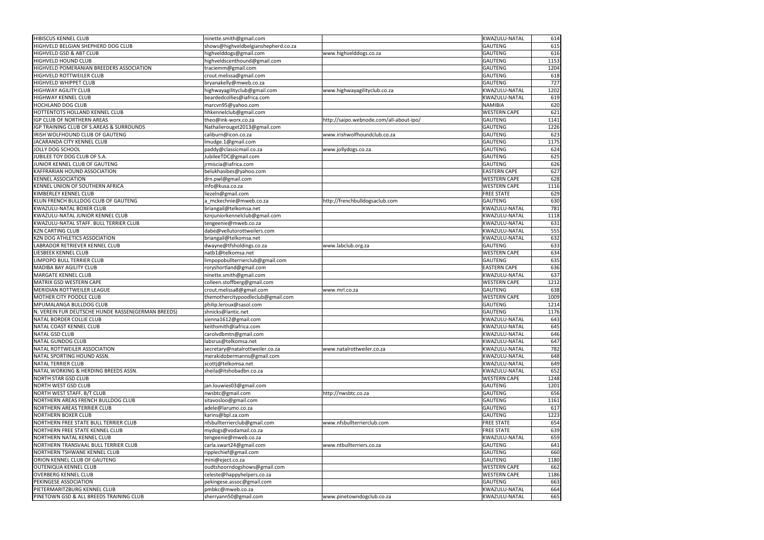| <b>HIBISCUS KENNEL CLUB</b>                        | ninette.smith@gmail.com             |                                         | KWAZULU-NATAL       | 614  |
|----------------------------------------------------|-------------------------------------|-----------------------------------------|---------------------|------|
| HIGHVELD BELGIAN SHEPHERD DOG CLUB                 | shows@highveldbelgianshepherd.co.za |                                         | <b>GAUTENG</b>      | 615  |
| <b>HIGHVELD GSD &amp; ABT CLUB</b>                 | highvelddogs@gmail.com              | www.highvelddogs.co.za                  | <b>GAUTENG</b>      | 616  |
| <b>HIGHVELD HOUND CLUB</b>                         | highveldscenthound@gmail.com        |                                         | <b>GAUTENG</b>      | 1153 |
| HIGHVELD POMERANIAN BREEDERS ASSOCIATION           | traciemm@gmail.com                  |                                         | <b>GAUTENG</b>      | 1204 |
| <b>HIGHVELD ROTTWEILER CLUB</b>                    | crout.melissa@gmail.com             |                                         | <b>GAUTENG</b>      | 618  |
| <b>HIGHVELD WHIPPET CLUB</b>                       | bryanakelly@mweb.co.za              |                                         | <b>GAUTENG</b>      | 727  |
| <b>HIGHWAY AGILITY CLUB</b>                        | highwayagilityclub@gmail.com        | www.highwayagilityclub.co.za            | KWAZULU-NATAL       | 1202 |
| <b>HIGHWAY KENNEL CLUB</b>                         | beardedcollies@iafrica.com          |                                         | KWAZULU-NATAL       | 619  |
| <b>HOCHLAND DOG CLUB</b>                           | marcvn95@yahoo.com                  |                                         | <b>NAMIBIA</b>      | 620  |
| <b>HOTTENTOTS HOLLAND KENNEL CLUB</b>              | hhkennelclub@gmail.com              |                                         | <b>WESTERN CAPE</b> | 621  |
| IGP CLUB OF NORTHERN AREAS                         | theo@ink-worx.co.za                 | http://saipo.webnode.com/all-about-ipo/ | <b>GAUTENG</b>      | 1141 |
| IGP TRAINING CLUB OF S.AREAS & SURROUNDS           | Nathalierouget2013@gmail.com        |                                         | <b>GAUTENG</b>      | 1226 |
| IRISH WOLFHOUND CLUB OF GAUTENG                    | caliburn@icon.co.za                 | www.irishwolfhoundclub.co.za            | <b>GAUTENG</b>      | 623  |
| JACARANDA CITY KENNEL CLUB                         | Imudge.1@gmail.com                  |                                         | <b>GAUTENG</b>      | 1175 |
| JOLLY DOG SCHOOL                                   | paddy@classicmail.co.za             | www.jollydogs.co.za                     | <b>GAUTENG</b>      | 624  |
| JUBILEE TOY DOG CLUB OF S.A.                       | JubileeTDC@gmail.com                |                                         | <b>GAUTENG</b>      | 625  |
| JUNIOR KENNEL CLUB OF GAUTENG                      | jrmiscia@iafrica.com                |                                         | <b>GAUTENG</b>      | 626  |
| KAFFRARIAN HOUND ASSOCIATION                       | belukhasibes@yahoo.com              |                                         | <b>EASTERN CAPE</b> |      |
| <b>KENNEL ASSOCIATION</b>                          |                                     |                                         | <b>WESTERN CAPE</b> | 627  |
|                                                    | drn.pwl@gmail.com                   |                                         |                     | 628  |
| KENNEL UNION OF SOUTHERN AFRICA                    | info@kusa.co.za                     |                                         | <b>WESTERN CAPE</b> | 1116 |
| KIMBERLEY KENNEL CLUB                              | liezeln@gmail.com                   |                                         | <b>FREE STATE</b>   | 629  |
| KLUN FRENCH BULLDOG CLUB OF GAUTENG                | a_mckechnie@mweb.co.za              | http://frenchbulldogsaclub.com          | <b>GAUTENG</b>      | 630  |
| KWAZULU-NATAL BOXER CLUB                           | briangail@telkomsa.net              |                                         | KWAZULU-NATAL       | 781  |
| KWAZULU-NATAL JUNIOR KENNEL CLUB                   | kznjuniorkennelclub@gmail.com       |                                         | KWAZULU-NATAL       | 1118 |
| KWAZULU-NATAL STAFF. BULL TERRIER CLUB             | tengeenie@mweb.co.za                |                                         | KWAZULU-NATAL       | 631  |
| <b>KZN CARTING CLUB</b>                            | dabe@vellutorottweilers.com         |                                         | KWAZULU-NATAL       | 555  |
| KZN DOG ATHLETICS ASSOCIATION                      | briangail@telkomsa.net              |                                         | KWAZULU-NATAL       | 632  |
| LABRADOR RETRIEVER KENNEL CLUB                     | dwayne@tfsholdings.co.za            | www.labclub.org.za                      | <b>GAUTENG</b>      | 633  |
| LIESBEEK KENNEL CLUB                               | natb1@telkomsa.net                  |                                         | <b>WESTERN CAPE</b> | 634  |
| LIMPOPO BULL TERRIER CLUB                          | limpopobullterrierclub@gmail.com    |                                         | <b>GAUTENG</b>      | 635  |
| MADIBA BAY AGILITY CLUB                            | roryshortland@gmail.com             |                                         | <b>EASTERN CAPE</b> | 636  |
| MARGATE KENNEL CLUB                                | ninette.smith@gmail.com             |                                         | KWAZULU-NATAL       | 637  |
| MATRIX GSD WESTERN CAPE                            | colleen.stoffberg@gmail.com         |                                         | <b>WESTERN CAPE</b> | 1212 |
| MERIDIAN ROTTWEILER LEAGUE                         | crout.melissa8@gmail.com            | www.mrl.co.za                           | <b>GAUTENG</b>      | 638  |
| MOTHER CITY POODLE CLUB                            | themothercitypoodleclub@gmail.com   |                                         | <b>WESTERN CAPE</b> | 1009 |
| MPUMALANGA BULLDOG CLUB                            | philip.leroux@sasol.com             |                                         | <b>GAUTENG</b>      | 1214 |
| N. VEREIN FUR DEUTSCHE HUNDE RASSEN(GERMAN BREEDS) | shnicks@lantic.net                  |                                         | <b>GAUTENG</b>      | 1176 |
| NATAL BORDER COLLIE CLUB                           | sienna1612@gmail.com                |                                         | KWAZULU-NATAL       | 643  |
| NATAL COAST KENNEL CLUB                            | keithsmith@iafrica.com              |                                         | KWAZULU-NATAL       | 645  |
| NATAL GSD CLUB                                     | carolvdbmtn@gmail.com               |                                         | KWAZULU-NATAL       | 646  |
| <b>NATAL GUNDOG CLUB</b>                           | labsrus@telkomsa.net                |                                         | KWAZULU-NATAL       | 647  |
| NATAL ROTTWEILER ASSOCIATION                       | secretary@natalrottweiler.co.za     | www.natalrottweiler.co.za               | KWAZULU-NATAL       | 782  |
| NATAL SPORTING HOUND ASSN.                         | merakidobermanns@gmail.com          |                                         | KWAZULU-NATAL       | 648  |
| <b>NATAL TERRIER CLUB</b>                          | scottj@telkomsa.net                 |                                         | KWAZULU-NATAL       | 649  |
| NATAL WORKING & HERDING BREEDS ASSN.               | sheila@itshobadbn.co.za             |                                         | KWAZULU-NATAL       | 652  |
| <b>NORTH STAR GSD CLUB</b>                         |                                     |                                         | <b>WESTERN CAPE</b> | 1248 |
| NORTH WEST GSD CLUB                                | jan.louwies03@gmail.com             |                                         | <b>GAUTENG</b>      | 1201 |
| NORTH WEST STAFF. B/T CLUB                         | nwsbtc@gmail.com                    | http://nwsbtc.co.za                     | <b>GAUTENG</b>      | 656  |
| NORTHERN AREAS FRENCH BULLDOG CLUB                 | sitavosloo@gmail.com                |                                         | <b>GAUTENG</b>      | 1161 |
| <b>NORTHERN AREAS TERRIER CLUB</b>                 | adele@larumo.co.za                  |                                         | <b>GAUTENG</b>      | 617  |
| NORTHERN BOXER CLUB                                | karins@bpl.za.com                   |                                         | <b>GAUTENG</b>      | 1223 |
| NORTHERN FREE STATE BULL TERRIER CLUB              | nfsbullterrierclub@gmail.com        | www.nfsbullterrierclub.com              | <b>FREE STATE</b>   | 654  |
| NORTHERN FREE STATE KENNEL CLUB                    | mydogs@vodamail.co.za               |                                         | <b>FREE STATE</b>   | 639  |
| NORTHERN NATAL KENNEL CLUB                         | tengeenie@mweb.co.za                |                                         | KWAZULU-NATAL       | 659  |
| NORTHERN TRANSVAAL BULL TERRIER CLUB               | carla.swart24@gmail.com             | www.ntbullterriers.co.za                | <b>GAUTENG</b>      | 641  |
| NORTHERN TSHWANE KENNEL CLUB                       | ripplechief@gmail.com               |                                         | <b>GAUTENG</b>      | 660  |
| ORION KENNEL CLUB OF GAUTENG                       | mini@eject.co.za                    |                                         | <b>GAUTENG</b>      | 1180 |
| OUTENIQUA KENNEL CLUB                              | oudtshoorndogshows@gmail.com        |                                         | <b>WESTERN CAPE</b> | 662  |
| <b>OVERBERG KENNEL CLUB</b>                        | celeste@happyhelpers.co.za          |                                         | <b>WESTERN CAPE</b> | 1186 |
| PEKINGESE ASSOCIATION                              | pekingese.assoc@gmail.com           |                                         | <b>GAUTENG</b>      | 663  |
| PIETERMARITZBURG KENNEL CLUB                       | pmbkc@mweb.co.za                    |                                         | KWAZULU-NATAL       | 664  |
| PINETOWN GSD & ALL BREEDS TRAINING CLUB            | sherryann50@gmail.com               | www.pinetowndogclub.co.za               | KWAZULU-NATAL       | 665  |
|                                                    |                                     |                                         |                     |      |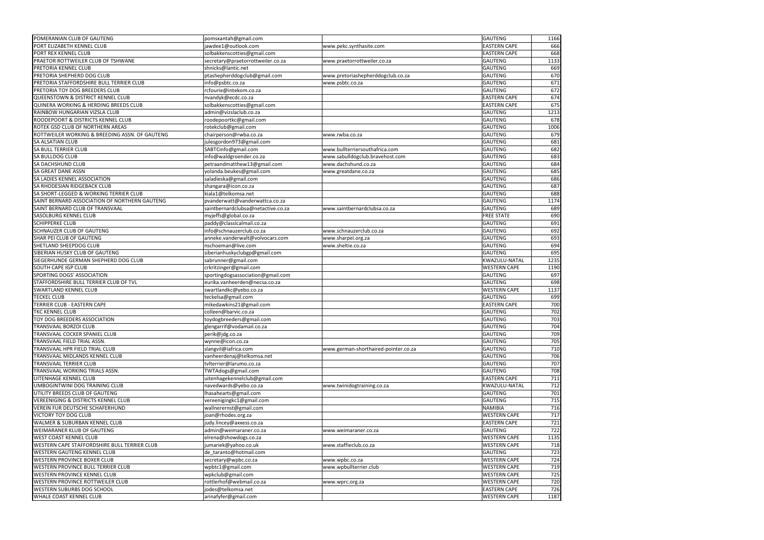| POMERANIAN CLUB OF GAUTENG                         | pomsxantah@gmail.com                             |                                      | GAUTENG             | 1166 |
|----------------------------------------------------|--------------------------------------------------|--------------------------------------|---------------------|------|
| PORT ELIZABETH KENNEL CLUB                         | jawdee1@outlook.com                              | www.pekc.synthasite.com              | <b>EASTERN CAPE</b> | 666  |
| PORT REX KENNEL CLUB                               | solbakkenscotties@gmail.com                      |                                      | <b>EASTERN CAPE</b> | 668  |
| PRAETOR ROTTWEILER CLUB OF TSHWANE                 | secretary@praetorrottweiler.co.za                | www.praetorrottweiler.co.za          | <b>GAUTENG</b>      | 1133 |
| PRETORIA KENNEL CLUB                               | shnicks@lantic.net                               |                                      | <b>GAUTENG</b>      | 669  |
| PRETORIA SHEPHERD DOG CLUB                         | ptashepherddogclub@gmail.com                     | www.pretoriashepherddogclub.co.za    | <b>GAUTENG</b>      | 670  |
| PRETORIA STAFFORDSHIRE BULL TERRIER CLUB           | info@psbtc.co.za                                 | www.psbtc.co.za                      | <b>GAUTENG</b>      | 671  |
| PRETORIA TOY DOG BREEDERS CLUB                     | rcfourie@intekom.co.za                           |                                      | <b>GAUTENG</b>      | 672  |
| QUEENSTOWN & DISTRICT KENNEL CLUB                  | nvandyk@ecdc.co.za                               |                                      | <b>EASTERN CAPE</b> | 674  |
| QUINERA WORKING & HERDING BREEDS CLUB              | solbakkenscotties@gmail.com                      |                                      | <b>EASTERN CAPE</b> | 675  |
| RAINBOW HUNGARIAN VIZSLA CLUB                      | admin@vizslaclub.co.za                           |                                      | <b>GAUTENG</b>      | 1213 |
| <b>ROODEPOORT &amp; DISTRICTS KENNEL CLUB</b>      | roodepoortkc@gmail.com                           |                                      | <b>GAUTENG</b>      | 678  |
| <b>ROTEK GSD CLUB OF NORTHERN AREAS</b>            | rotekclub@gmail.com                              |                                      | <b>GAUTENG</b>      | 1006 |
| ROTTWEILER WORKING & BREEDING ASSN. OF GAUTENG     | chairperson@rwba.co.za                           | www.rwba.co.za                       | <b>GAUTENG</b>      | 679  |
| SA ALSATIAN CLUB                                   | julesgordon973@gmail.com                         |                                      | <b>GAUTENG</b>      | 681  |
| <b>SA BULL TERRIER CLUB</b>                        | SABTCinfo@gmail.com                              | www.bullterriersouthafrica.com       | <b>GAUTENG</b>      | 682  |
| SA BULLDOG CLUB                                    | info@waldgroender.co.za                          | www.sabulldogclub.bravehost.com      | <b>GAUTENG</b>      | 683  |
| <b>SA DACHSHUND CLUB</b>                           | petraandmatthew13@gmail.com                      | www.dachshund.co.za                  | <b>GAUTENG</b>      | 684  |
|                                                    |                                                  |                                      | <b>GAUTENG</b>      | 685  |
| SA GREAT DANE ASSN<br>SA LADIES KENNEL ASSOCIATION | yolanda.beukes@gmail.com<br>saladieska@gmail.com | www.greatdane.co.za                  | <b>GAUTENG</b>      |      |
|                                                    |                                                  |                                      |                     | 686  |
| SA RHODESIAN RIDGEBACK CLUB                        | shangara@icon.co.za                              |                                      | <b>GAUTENG</b>      | 687  |
| SA SHORT-LEGGED & WORKING TERRIER CLUB             | kiala1@telkomsa.net                              |                                      | <b>GAUTENG</b>      | 688  |
| SAINT BERNARD ASSOCIATION OF NORTHERN GAUTENG      | pvanderwatt@vanderwattca.co.za                   |                                      | <b>GAUTENG</b>      | 1174 |
| SAINT BERNARD CLUB OF TRANSVAAL                    | saintbernardclubsa@netactive.co.za               | www.saintbernardclubsa.co.za         | <b>GAUTENG</b>      | 689  |
| <b>SASOLBURG KENNEL CLUB</b>                       | myjeffs@global.co.za                             |                                      | <b>FREE STATE</b>   | 690  |
| <b>SCHIPPERKE CLUB</b>                             | paddy@classicalmail.co.za                        |                                      | <b>GAUTENG</b>      | 691  |
| SCHNAUZER CLUB OF GAUTENG                          | info@schnauzerclub.co.za                         | www.schnauzerclub.co.za              | <b>GAUTENG</b>      | 692  |
| SHAR PEI CLUB OF GAUTENG                           | anneke.vanderwalt@volvocars.com                  | www.sharpei.org.za                   | <b>GAUTENG</b>      | 693  |
| SHETLAND SHEEPDOG CLUB                             | nschoeman@live.com                               | www.sheltie.co.za                    | <b>GAUTENG</b>      | 694  |
| SIBERIAN HUSKY CLUB OF GAUTENG                     | siberianhuskyclubgp@gmail.com                    |                                      | <b>GAUTENG</b>      | 695  |
| SIEGERHUNDE GERMAN SHEPHERD DOG CLUB               | sabrunner@gmail.com                              |                                      | KWAZULU-NATAL       | 1235 |
| SOUTH CAPE IGP CLUB                                | crkritzinger@gmail.com                           |                                      | <b>WESTERN CAPE</b> | 1190 |
| SPORTING DOGS' ASSOCIATION                         | sportingdogsassociation@gmail.com                |                                      | <b>GAUTENG</b>      | 697  |
| STAFFORDSHIRE BULL TERRIER CLUB OF TVL             | eurika.vanheerden@necsa.co.za                    |                                      | <b>GAUTENG</b>      | 698  |
| SWARTLAND KENNEL CLUB                              | swartlandkc@yebo.co.za                           |                                      | <b>WESTERN CAPE</b> | 1137 |
| <b>TECKEL CLUB</b>                                 | teckelsa@gmail.com                               |                                      | <b>GAUTENG</b>      | 699  |
| TERRIER CLUB - EASTERN CAPE                        | mikedawkins21@gmail.com                          |                                      | <b>EASTERN CAPE</b> | 700  |
| TKC KENNEL CLUB                                    | colleen@barvic.co.za                             |                                      | <b>GAUTENG</b>      | 702  |
| TOY DOG BREEDERS ASSOCIATION                       | toydogbreeders@gmail.com                         |                                      | <b>GAUTENG</b>      | 703  |
| TRANSVAAL BORZOI CLUB                              | glengarrif@vodamail.co.za                        |                                      | <b>GAUTENG</b>      | 704  |
| TRANSVAAL COCKER SPANIEL CLUB                      | perik@jdg.co.za                                  |                                      | <b>GAUTENG</b>      | 709  |
| TRANSVAAL FIELD TRIAL ASSN.                        | wynne@icon.co.za                                 |                                      | GAUTENG             | 705  |
| TRANSVAAL HPR FIELD TRIAL CLUB                     | slangvil@iafrica.com                             | www.german-shorthaired-pointer.co.za | GAUTENG             | 710  |
| TRANSVAAL MIDLANDS KENNEL CLUB                     | vanheerdenaj@telkomsa.net                        |                                      | <b>GAUTENG</b>      | 706  |
| TRANSVAAL TERRIER CLUB                             | tvlterrier@larumo.co.za                          |                                      | <b>GAUTENG</b>      | 707  |
| TRANSVAAL WORKING TRIALS ASSN.                     | TWTAdogs@gmail.com                               |                                      | <b>GAUTENG</b>      | 708  |
| UITENHAGE KENNEL CLUB                              | uitenhagekennelclub@gmail.com                    |                                      | <b>EASTERN CAPE</b> | 711  |
| UMBOGINTWINI DOG TRAINING CLUB                     | navedwards@yebo.co.za                            | www.twinidogtraining.co.za           | KWAZULU-NATAL       | 712  |
| UTILITY BREEDS CLUB OF GAUTENG                     | lhasahearts@gmail.com                            |                                      | <b>GAUTENG</b>      | 701  |
| <b>VEREENIGING &amp; DISTRICTS KENNEL CLUB</b>     | vereenigingkc1@gmail.com                         |                                      | <b>GAUTENG</b>      | 715  |
| VEREIN FUR DEUTSCHE SCHAFERHUND                    | wallnerernst@gmail.com                           |                                      | <b>NAMIBIA</b>      | 716  |
| <b>VICTORY TOY DOG CLUB</b>                        | joan@rhodes.org.za                               |                                      | <b>WESTERN CAPE</b> | 717  |
| WALMER & SUBURBAN KENNEL CLUB                      | judy.lincey@axxess.co.za                         |                                      | <b>EASTERN CAPE</b> | 721  |
| WEIMARANER KLUB OF GAUTENG                         | admin@weimaraner.co.za                           | www.weimaraner.co.za                 | <b>GAUTENG</b>      | 722  |
| <b>WEST COAST KENNEL CLUB</b>                      | elrena@showdogs.co.za                            |                                      | <b>WESTERN CAPE</b> | 1135 |
| WESTERN CAPE STAFFORDSHIRE BULL TERRIER CLUB       | jumariek@yahoo.co.uk                             | www.staffieclub.co.za                | <b>WESTERN CAPE</b> | 718  |
| <b>WESTERN GAUTENG KENNEL CLUB</b>                 | de_taranto@hotmail.com                           |                                      | <b>GAUTENG</b>      | 723  |
| <b>WESTERN PROVINCE BOXER CLUB</b>                 | secretary@wpbc.co.za                             | www.wpbc.co.za                       | <b>WESTERN CAPE</b> | 724  |
| <b>WESTERN PROVINCE BULL TERRIER CLUB</b>          | wpbtc1@gmail.com                                 | www.wpbullterrier.club               | <b>WESTERN CAPE</b> | 719  |
| <b>WESTERN PROVINCE KENNEL CLUB</b>                | wpkclub@gmail.com                                |                                      | <b>WESTERN CAPE</b> | 725  |
| WESTERN PROVINCE ROTTWEILER CLUB                   | rottlerhof@webmail.co.za                         | www.wprc.org.za                      | <b>WESTERN CAPE</b> | 720  |
| <b>WESTERN SUBURBS DOG SCHOOL</b>                  | jodes@telkomsa.net                               |                                      | <b>EASTERN CAPE</b> | 726  |
| WHALE COAST KENNEL CLUB                            | arinafyfer@gmail.com                             |                                      | <b>WESTERN CAPE</b> | 1187 |
|                                                    |                                                  |                                      |                     |      |